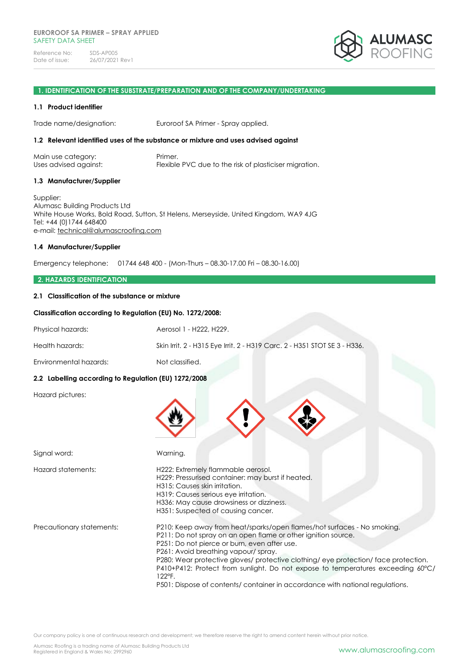

## **1. IDENTIFICATION OF THE SUBSTRATE/PREPARATION AND OF THE COMPANY/UNDERTAKING**

#### **1.1 Product identifier**

Trade name/designation: Euroroof SA Primer - Spray applied.

#### **1.2 Relevant identified uses of the substance or mixture and uses advised against**

| Main use category:    | Primer.                                                |
|-----------------------|--------------------------------------------------------|
| Uses advised against: | Flexible PVC due to the risk of plasticiser migration. |

#### **1.3 Manufacturer/Supplier**

Supplier: Alumasc Building Products Ltd White House Works, Bold Road, Sutton, St Helens, Merseyside, United Kingdom, WA9 4JG Tel: +44 (0)1744 648400 e-mail: [technical@alumascroofing.com](mailto:technical@alumascroofing.com)

#### **1.4 Manufacturer/Supplier**

Emergency telephone: 01744 648 400 - (Mon-Thurs – 08.30-17.00 Fri – 08.30-16.00)

## **2. HAZARDS IDENTIFICATION**

#### **2.1 Classification of the substance or mixture**

#### **Classification according to Regulation (EU) No. 1272/2008:**

| Physical hazards:                                    | Aerosol 1 - H222, H229.                                                                                                                                                                                                                                                                                                                                                                                                                                                                              |
|------------------------------------------------------|------------------------------------------------------------------------------------------------------------------------------------------------------------------------------------------------------------------------------------------------------------------------------------------------------------------------------------------------------------------------------------------------------------------------------------------------------------------------------------------------------|
| Health hazards:                                      | Skin Irrit. 2 - H315 Eye Irrit. 2 - H319 Carc. 2 - H351 STOT SE 3 - H336.                                                                                                                                                                                                                                                                                                                                                                                                                            |
| Environmental hazards:                               | Not classified.                                                                                                                                                                                                                                                                                                                                                                                                                                                                                      |
| 2.2 Labelling according to Regulation (EU) 1272/2008 |                                                                                                                                                                                                                                                                                                                                                                                                                                                                                                      |
| Hazard pictures:                                     |                                                                                                                                                                                                                                                                                                                                                                                                                                                                                                      |
| Signal word:                                         | Warning.                                                                                                                                                                                                                                                                                                                                                                                                                                                                                             |
| Hazard statements:                                   | H222: Extremely flammable aerosol.<br>H229: Pressurised container: may burst if heated.<br>H315: Causes skin irritation.<br>H319: Causes serious eye irritation.<br>H336: May cause drowsiness or dizziness.<br>H351: Suspected of causing cancer.                                                                                                                                                                                                                                                   |
| Precautionary statements:                            | P210: Keep away from heat/sparks/open flames/hot surfaces - No smoking.<br>P211: Do not spray on an open flame or other ignition source.<br>P251: Do not pierce or burn, even after use.<br>P261: Avoid breathing vapour/spray.<br>P280: Wear protective gloves/ protective clothing/ eye protection/ face protection.<br>P410+P412: Protect from sunlight. Do not expose to temperatures exceeding 60°C/<br>122°F.<br>P501: Dispose of contents/ container in accordance with national regulations. |

Our company policy is one of continuous research and development; we therefore reserve the right to amend content herein without prior notice.

Alumasc Roofing is a trading name of Alumasc Building Products Ltd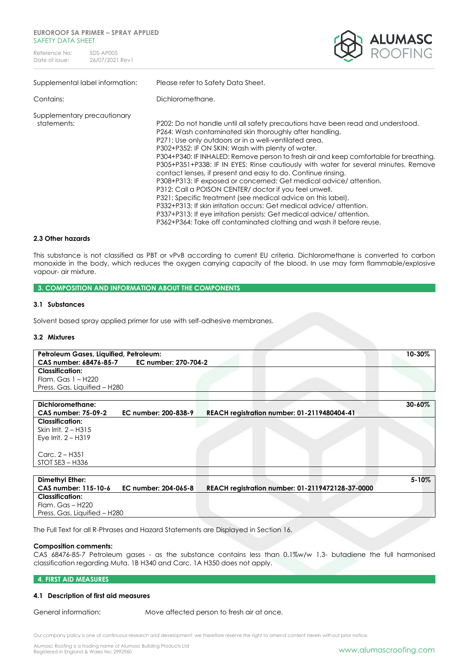#### **EUROROOF SA PRIMER – SPRAY APPLIED** SAFFTY DATA SHFFT

Reference No: SDS-AP005<br>Date of issue: 26/07/2021 26/07/2021 Rev1



| Supplemental label information:            | Please refer to Safety Data Sheet.                                                                                                                                                                                                                                                                                                                                                                                                                                                                                                                                                                                                                                                                                                                                                                                                                                                                                            |
|--------------------------------------------|-------------------------------------------------------------------------------------------------------------------------------------------------------------------------------------------------------------------------------------------------------------------------------------------------------------------------------------------------------------------------------------------------------------------------------------------------------------------------------------------------------------------------------------------------------------------------------------------------------------------------------------------------------------------------------------------------------------------------------------------------------------------------------------------------------------------------------------------------------------------------------------------------------------------------------|
| Contains:                                  | Dichloromethane.                                                                                                                                                                                                                                                                                                                                                                                                                                                                                                                                                                                                                                                                                                                                                                                                                                                                                                              |
| Supplementary precautionary<br>statements: | P202: Do not handle until all safety precautions have been read and understood.<br>P264: Wash contaminated skin thoroughly after handling.<br>P271: Use only outdoors or in a well-ventilated area.<br>P302+P352: IF ON SKIN: Wash with plenty of water.<br>P304+P340: IF INHALED: Remove person to fresh air and keep comfortable for breathing.<br>P305+P351+P338: IF IN EYES: Rinse cautiously with water for several minutes. Remove<br>contact lenses, if present and easy to do. Continue rinsing.<br>P308+P313: IF exposed or concerned: Get medical advice/attention.<br>P312: Call a POISON CENTER/ doctor if you feel unwell.<br>P321: Specific treatment (see medical advice on this label).<br>P332+P313: If skin irritation occurs: Get medical advice/attention.<br>P337+P313: If eye irritation persists: Get medical advice/attention.<br>P362+P364: Take off contaminated clothing and wash it before reuse. |

#### **2.3 Other hazards**

This substance is not classified as PBT or vPvB according to current EU criteria. Dichloromethane is converted to carbon monoxide in the body, which reduces the oxygen carrying capacity of the blood. In use may form flammable/explosive vapour- air mixture.

## **3. COMPOSITION AND INFORMATION ABOUT THE COMPONENTS**

## **3.1 Substances**

Solvent based spray applied primer for use with self-adhesive membranes.

## **3.2 Mixtures**

| Petroleum Gases, Liquified, Petroleum: |                      |                                                  | 10-30%    |
|----------------------------------------|----------------------|--------------------------------------------------|-----------|
| CAS number: 68476-85-7                 | EC number: 270-704-2 |                                                  |           |
| <b>Classification:</b>                 |                      |                                                  |           |
| Flam. Gas 1 - H220                     |                      |                                                  |           |
| Press. Gas, Liquified - H280           |                      |                                                  |           |
|                                        |                      |                                                  |           |
| Dichloromethane:                       |                      |                                                  | 30-60%    |
| <b>CAS number: 75-09-2</b>             | EC number: 200-838-9 | REACH registration number: 01-2119480404-41      |           |
| <b>Classification:</b>                 |                      |                                                  |           |
| Skin Irrit. 2 - H315                   |                      |                                                  |           |
| Eye Irrit. $2 - H319$                  |                      |                                                  |           |
|                                        |                      |                                                  |           |
| Carc. $2 - H351$                       |                      |                                                  |           |
| $STOT SE3 - H336$                      |                      |                                                  |           |
|                                        |                      |                                                  |           |
| Dimethyl Ether:                        |                      |                                                  | $5 - 10%$ |
| CAS number: 115-10-6                   | EC number: 204-065-8 | REACH registration number: 01-2119472128-37-0000 |           |
| <b>Classification:</b>                 |                      |                                                  |           |
| Flam. Gas - H220                       |                      |                                                  |           |

Press. Gas, Liquified – H280

The Full Text for all R-Phrases and Hazard Statements are Displayed in Section 16.

## **Composition comments:**

CAS 68476-85-7 Petroleum gases - as the substance contains less than 0.1%w/w 1,3- butadiene the full harmonised classification regarding Muta. 1B H340 and Carc. 1A H350 does not apply.

#### **4. FIRST AID MEASURES**

## **4.1 Description of first aid measures**

General information: Move affected person to fresh air at once.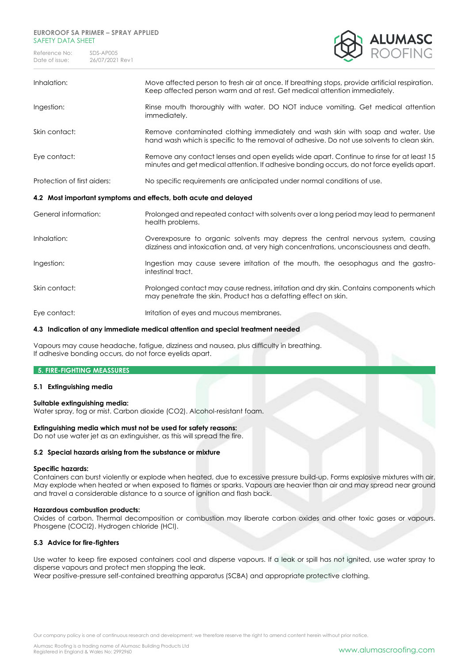## **EUROROOF SA PRIMER – SPRAY APPLIED** SAFETY DATA SHFFT

Reference No: SDS-AP005<br>Date of issue: 26/07/2021 26/07/2021 Rev1



| Inhalation:                                                     | Move affected person to fresh air at once. If breathing stops, provide artificial respiration.<br>Keep affected person warm and at rest. Get medical attention immediately.            |  |
|-----------------------------------------------------------------|----------------------------------------------------------------------------------------------------------------------------------------------------------------------------------------|--|
| Ingestion:                                                      | Rinse mouth thoroughly with water. DO NOT induce vomiting. Get medical attention<br>immediately.                                                                                       |  |
| Skin contact:                                                   | Remove contaminated clothing immediately and wash skin with soap and water. Use<br>hand wash which is specific to the removal of adhesive. Do not use solvents to clean skin.          |  |
| Eye contact:                                                    | Remove any contact lenses and open eyelids wide apart. Continue to rinse for at least 15<br>minutes and get medical attention. If adhesive bonding occurs, do not force eyelids apart. |  |
| Protection of first aiders:                                     | No specific requirements are anticipated under normal conditions of use.                                                                                                               |  |
| 4.2 Most important symptoms and effects, both acute and delayed |                                                                                                                                                                                        |  |
|                                                                 |                                                                                                                                                                                        |  |
| General information:                                            | Prolonged and repeated contact with solvents over a long period may lead to permanent<br>health problems.                                                                              |  |
| Inhalation:                                                     | Overexposure to organic solvents may depress the central nervous system, causing<br>dizziness and intoxication and, at very high concentrations, unconsciousness and death.            |  |
| Ingestion:                                                      | Ingestion may cause severe irritation of the mouth, the oesophagus and the gastro-<br>intestinal tract.                                                                                |  |
| Skin contact:                                                   | Prolonged contact may cause redness, irritation and dry skin. Contains components which<br>may penetrate the skin. Product has a defatting effect on skin.                             |  |

## **4.3 Indication of any immediate medical attention and special treatment needed**

Vapours may cause headache, fatigue, dizziness and nausea, plus difficulty in breathing. If adhesive bonding occurs, do not force eyelids apart.

## **5. FIRE-FIGHTING MEASSURES**

## **5.1 Extinguishing media**

## **Suitable extinguishing media:**

Water spray, fog or mist. Carbon dioxide (CO2). Alcohol-resistant foam.

## **Extinguishing media which must not be used for safety reasons:**

Do not use water jet as an extinguisher, as this will spread the fire.

## **5.2 Special hazards arising from the substance or mixture**

## **Specific hazards:**

Containers can burst violently or explode when heated, due to excessive pressure build-up. Forms explosive mixtures with air. May explode when heated or when exposed to flames or sparks. Vapours are heavier than air and may spread near ground and travel a considerable distance to a source of ignition and flash back.

## **Hazardous combustion products:**

Oxides of carbon. Thermal decomposition or combustion may liberate carbon oxides and other toxic gases or vapours. Phosgene (COCl2). Hydrogen chloride (HCl).

## **5.3 Advice for fire-fighters**

Use water to keep fire exposed containers cool and disperse vapours. If a leak or spill has not ignited, use water spray to disperse vapours and protect men stopping the leak.

Wear positive-pressure self-contained breathing apparatus (SCBA) and appropriate protective clothing.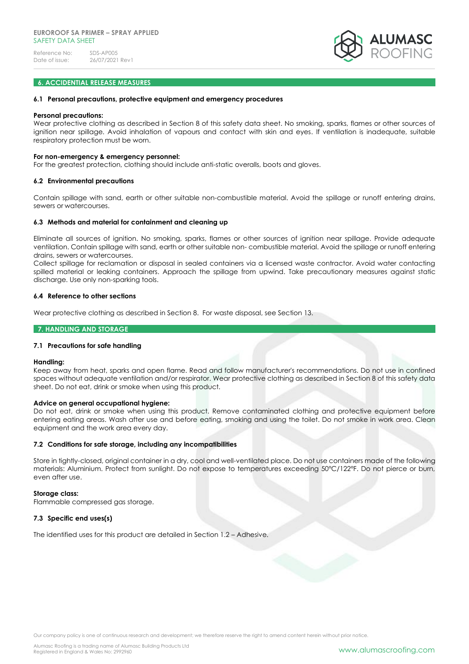

## **6. ACCIDENTIAL RELEASE MEASURES**

#### **6.1 Personal precautions, protective equipment and emergency procedures**

#### **Personal precautions:**

Wear protective clothing as described in Section 8 of this safety data sheet. No smoking, sparks, flames or other sources of ignition near spillage. Avoid inhalation of vapours and contact with skin and eyes. If ventilation is inadequate, suitable respiratory protection must be worn.

#### **For non-emergency & emergency personnel:**

For the greatest protection, clothing should include anti-static overalls, boots and gloves.

#### **6.2 Environmental precautions**

Contain spillage with sand, earth or other suitable non-combustible material. Avoid the spillage or runoff entering drains, sewers or watercourses.

#### **6.3 Methods and material for containment and cleaning up**

Eliminate all sources of ignition. No smoking, sparks, flames or other sources of ignition near spillage. Provide adequate ventilation. Contain spillage with sand, earth or other suitable non- combustible material. Avoid the spillage or runoff entering drains, sewers or watercourses.

Collect spillage for reclamation or disposal in sealed containers via a licensed waste contractor. Avoid water contacting spilled material or leaking containers. Approach the spillage from upwind. Take precautionary measures against static discharge. Use only non-sparking tools.

#### **6.4 Reference to other sections**

Wear protective clothing as described in Section 8. For waste disposal, see Section 13.

## **7. HANDLING AND STORAGE**

## **7.1 Precautions for safe handling**

#### **Handling:**

Keep away from heat, sparks and open flame. Read and follow manufacturer's recommendations. Do not use in confined spaces without adequate ventilation and/or respirator. Wear protective clothing as described in Section 8 of this safety data sheet. Do not eat, drink or smoke when using this product.

#### **Advice on general occupational hygiene:**

Do not eat, drink or smoke when using this product. Remove contaminated clothing and protective equipment before entering eating areas. Wash after use and before eating, smoking and using the toilet. Do not smoke in work area. Clean equipment and the work area every day.

## **7.2 Conditions for safe storage, including any incompatibilities**

Store in tightly-closed, original container in a dry, cool and well-ventilated place. Do not use containers made of the following materials: Aluminium. Protect from sunlight. Do not expose to temperatures exceeding 50°C/122°F. Do not pierce or burn, even after use.

## **Storage class:**

Flammable compressed gas storage.

## **7.3 Specific end uses(s)**

The identified uses for this product are detailed in Section 1.2 – Adhesive.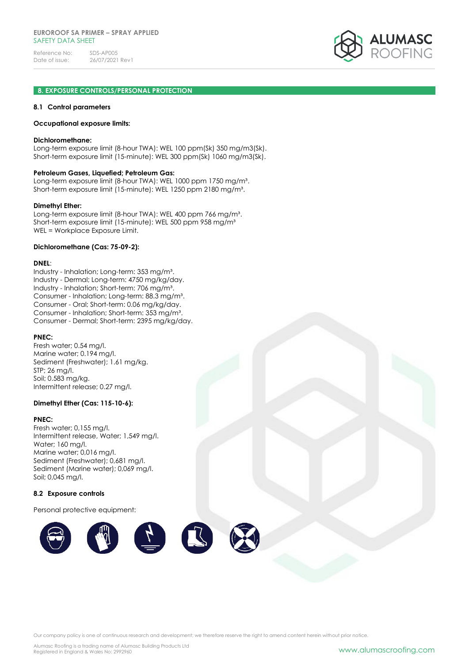

## **8. EXPOSURE CONTROLS/PERSONAL PROTECTION**

#### **8.1 Control parameters**

#### **Occupational exposure limits:**

#### **Dichloromethane:**

Long-term exposure limit (8-hour TWA): WEL 100 ppm(Sk) 350 mg/m3(Sk). Short-term exposure limit (15-minute): WEL 300 ppm(Sk) 1060 mg/m3(Sk).

#### **Petroleum Gases, Liquefied; Petroleum Gas:**

Long-term exposure limit (8-hour TWA): WEL 1000 ppm 1750 mg/m<sup>3</sup>. Short-term exposure limit (15-minute): WEL 1250 ppm 2180 mg/m<sup>3</sup>.

#### **Dimethyl Ether:**

Long-term exposure limit (8-hour TWA): WEL 400 ppm 766 mg/m<sup>3</sup>. Short-term exposure limit (15-minute): WEL 500 ppm 958 mg/m<sup>3</sup> WEL = Workplace Exposure Limit.

#### **Dichloromethane (Cas: 75-09-2):**

#### **DNEL**:

Industry - Inhalation; Long-term: 353 mg/m<sup>3</sup>. Industry - Dermal; Long-term: 4750 mg/kg/day. Industry - Inhalation; Short-term: 706 mg/m³. Consumer - Inhalation; Long-term: 88.3 mg/m³. Consumer - Oral; Short-term: 0.06 mg/kg/day. Consumer - Inhalation; Short-term: 353 mg/m³. Consumer - Dermal; Short-term: 2395 mg/kg/day.

## **PNEC:**

Fresh water; 0.54 mg/l. Marine water; 0.194 mg/l. Sediment (Freshwater); 1.61 mg/kg. STP; 26 mg/l. Soil; 0.583 mg/kg. Intermittent release; 0.27 mg/l.

## **Dimethyl Ether (Cas: 115-10-6):**

#### **PNEC:**

Fresh water; 0,155 mg/l. Intermittent release, Water; 1,549 mg/l. Water; 160 mg/l. Marine water; 0,016 mg/l. Sediment (Freshwater); 0,681 mg/l. Sediment (Marine water); 0,069 mg/l. Soil; 0,045 mg/l.

## **8.2 Exposure controls**

Personal protective equipment:

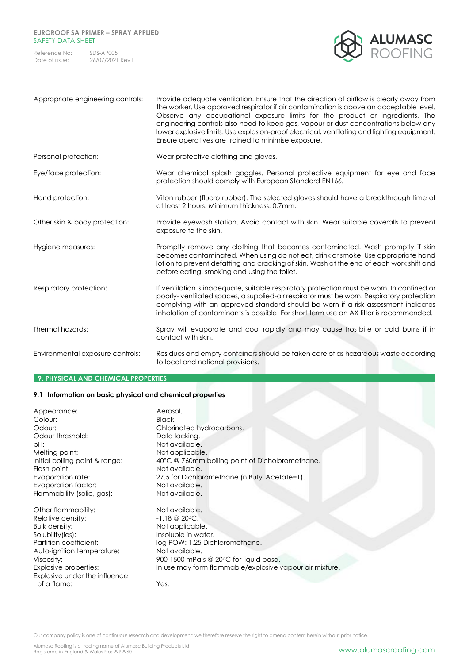## **EUROROOF SA PRIMER – SPRAY APPLIED** SAFETY DATA SHEET

Reference No: SDS-AP005<br>Date of issue: 26/07/2021 26/07/2021 Rev1



| Appropriate engineering controls: | Provide adequate ventilation. Ensure that the direction of airflow is clearly away from<br>the worker. Use approved respirator if air contamination is above an acceptable level.<br>Observe any occupational exposure limits for the product or ingredients. The<br>engineering controls also need to keep gas, vapour or dust concentrations below any<br>lower explosive limits. Use explosion-proof electrical, ventilating and lighting equipment.<br>Ensure operatives are trained to minimise exposure. |
|-----------------------------------|----------------------------------------------------------------------------------------------------------------------------------------------------------------------------------------------------------------------------------------------------------------------------------------------------------------------------------------------------------------------------------------------------------------------------------------------------------------------------------------------------------------|
| Personal protection:              | Wear protective clothing and gloves.                                                                                                                                                                                                                                                                                                                                                                                                                                                                           |
| Eye/face protection:              | Wear chemical splash goggles. Personal protective equipment for eye and face<br>protection should comply with European Standard EN166.                                                                                                                                                                                                                                                                                                                                                                         |
| Hand protection:                  | Viton rubber (fluoro rubber). The selected gloves should have a breakthrough time of<br>at least 2 hours. Minimum thickness: 0.7mm.                                                                                                                                                                                                                                                                                                                                                                            |
| Other skin & body protection:     | Provide eyewash station. Avoid contact with skin. Wear suitable coveralls to prevent<br>exposure to the skin.                                                                                                                                                                                                                                                                                                                                                                                                  |
| Hygiene measures:                 | Promptly remove any clothing that becomes contaminated. Wash promptly if skin<br>becomes contaminated. When using do not eat, drink or smoke. Use appropriate hand<br>lotion to prevent defatting and cracking of skin. Wash at the end of each work shift and<br>before eating, smoking and using the toilet.                                                                                                                                                                                                 |
| Respiratory protection:           | If ventilation is inadequate, suitable respiratory protection must be worn. In confined or<br>poorly-ventilated spaces, a supplied-air respirator must be worn. Respiratory protection<br>complying with an approved standard should be worn if a risk assessment indicates<br>inhalation of contaminants is possible. For short term use an AX filter is recommended.                                                                                                                                         |
| Thermal hazards:                  | Spray will evaporate and cool rapidly and may cause frostbite or cold burns if in<br>contact with skin.                                                                                                                                                                                                                                                                                                                                                                                                        |
| Environmental exposure controls:  | Residues and empty containers should be taken care of as hazardous waste according<br>to local and national provisions.                                                                                                                                                                                                                                                                                                                                                                                        |

## **9. PHYSICAL AND CHEMICAL PROPERTIES**

## **9.1 Information on basic physical and chemical properties**

| Appearance:                                    | Aerosol.                                                          |
|------------------------------------------------|-------------------------------------------------------------------|
| Colour:                                        | Black.                                                            |
| Odour:                                         | Chlorinated hydrocarbons.                                         |
| Odour threshold:                               | Data lacking.                                                     |
| pH:                                            | Not available.                                                    |
| Melting point:                                 | Not applicable.                                                   |
| Initial boiling point & range:<br>Flash point: | 40°C @ 760mm boiling point of Dicholoromethane.<br>Not available. |
| Evaporation rate:                              | 27.5 for Dichloromethane (n Butyl Acetate=1).                     |
| Evaporation factor:                            | Not available.                                                    |
| Flammability (solid, gas):                     | Not available.                                                    |
| Other flammability:                            | Not available.                                                    |
| Relative density:                              | $-1.18 \t@ 20°C.$                                                 |
| Bulk density:                                  | Not applicable.                                                   |
| Solubility (ies):                              | Insoluble in water.                                               |
| Partition coefficient:                         | log POW: 1.25 Dichloromethane.                                    |
| Auto-ignition temperature:                     | Not available.                                                    |
| Viscosity:                                     | 900-1500 mPa s @ 20°C for liquid base.                            |
| Explosive properties:                          | In use may form flammable/explosive vapour air mixture.           |
| Explosive under the influence                  |                                                                   |
| of a flame:                                    | Yes.                                                              |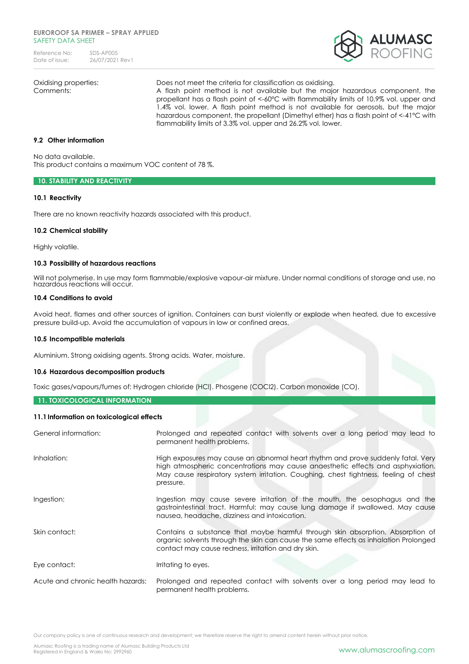#### **EUROROOF SA PRIMER – SPRAY APPLIED** SAFFTY DATA SHFFT

Reference No: SDS-AP005<br>Date of issue: 26/07/2021 26/07/2021 Rev1



Oxidising properties: Does not meet the criteria for classification as oxidising.

Comments: A flash point method is not available but the major hazardous component, the propellant has a flash point of <-60°C with flammability limits of 10.9% vol. upper and 1.4% vol. lower. A flash point method is not available for aerosols, but the major hazardous component, the propellant (Dimethyl ether) has a flash point of <-41°C with flammability limits of 3.3% vol. upper and 26.2% vol. lower.

## **9.2 Other information**

No data available. This product contains a maximum VOC content of 78 %.

## **10. STABILITY AND REACTIVITY**

## **10.1 Reactivity**

There are no known reactivity hazards associated with this product.

## **10.2 Chemical stability**

Highly volatile.

## **10.3 Possibility of hazardous reactions**

Will not polymerise. In use may form flammable/explosive vapour-air mixture. Under normal conditions of storage and use, no hazardous reactions will occur.

## **10.4 Conditions to avoid**

Avoid heat, flames and other sources of ignition. Containers can burst violently or explode when heated, due to excessive pressure build-up. Avoid the accumulation of vapours in low or confined areas.

## **10.5 Incompatible materials**

Aluminium. Strong oxidising agents. Strong acids. Water, moisture.

## **10.6 Hazardous decomposition products**

Toxic gases/vapours/fumes of: Hydrogen chloride (HCl). Phosgene (COCl2). Carbon monoxide (CO).

## **11. TOXICOLOGICAL INFORMATION**

## **11.1Information on toxicological effects**

| General information:              | Prolonged and repeated contact with solvents over a long period may lead to<br>permanent health problems.                                                                                                                                                                |
|-----------------------------------|--------------------------------------------------------------------------------------------------------------------------------------------------------------------------------------------------------------------------------------------------------------------------|
| Inhalation:                       | High exposures may cause an abnormal heart rhythm and prove suddenly fatal. Very<br>high atmospheric concentrations may cause anaesthetic effects and asphyxiation.<br>May cause respiratory system irritation. Coughing, chest tightness, feeling of chest<br>pressure. |
| Ingestion:                        | Ingestion may cause severe irritation of the mouth, the oesophagus and the<br>gastrointestinal tract. Harmful: may cause lung damage if swallowed. May cause<br>nausea, headache, dizziness and intoxication.                                                            |
| Skin contact:                     | Contains a substance that maybe harmful through skin absorption. Absorption of<br>organic solvents through the skin can cause the same effects as inhalation Prolonged<br>contact may cause redness, irritation and dry skin.                                            |
| Eye contact:                      | Irritating to eyes.                                                                                                                                                                                                                                                      |
| Acute and chronic health hazards: | Prolonged and repeated contact with solvents over a long period may lead to<br>permanent health problems.                                                                                                                                                                |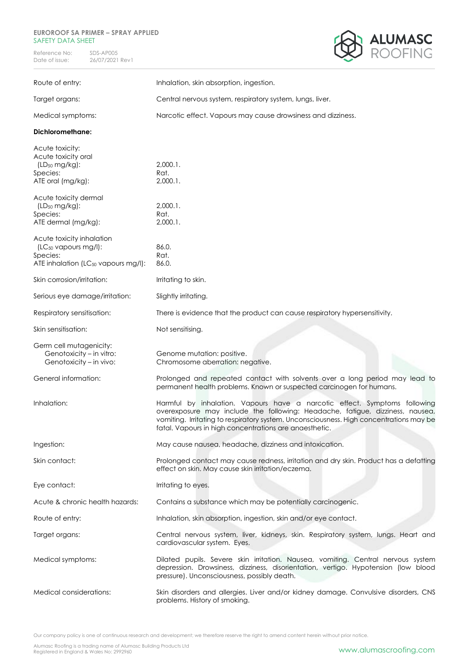## **EUROROOF SA PRIMER – SPRAY APPLIED** SAFETY DATA SHEET

Reference No: SDS-AP005<br>Date of issue: 26/07/2021 26/07/2021 Rev1



| Route of entry:                                                                                                              | Inhalation, skin absorption, ingestion.                                                                                                                                                                                                                                                                         |
|------------------------------------------------------------------------------------------------------------------------------|-----------------------------------------------------------------------------------------------------------------------------------------------------------------------------------------------------------------------------------------------------------------------------------------------------------------|
| Target organs:                                                                                                               | Central nervous system, respiratory system, lungs, liver.                                                                                                                                                                                                                                                       |
| Medical symptoms:                                                                                                            | Narcotic effect. Vapours may cause drowsiness and dizziness.                                                                                                                                                                                                                                                    |
| <b>Dichloromethane:</b>                                                                                                      |                                                                                                                                                                                                                                                                                                                 |
| Acute toxicity:<br>Acute toxicity oral<br>$(LD_{50} mg/kg):$<br>Species:<br>ATE oral (mg/kg):                                | $2,000.1$ .<br>Rat.<br>$2,000.1$ .                                                                                                                                                                                                                                                                              |
| Acute toxicity dermal<br>$(LD_{50} mg/kg):$<br>Species:<br>ATE dermal (mg/kg):                                               | $2,000.1$ .<br>Rat.<br>$2,000.1$ .                                                                                                                                                                                                                                                                              |
| Acute toxicity inhalation<br>(LC <sub>50</sub> vapours mg/l):<br>Species:<br>ATE inhalation (LC <sub>50</sub> vapours mg/l): | 86.0.<br>Rat.<br>86.0.                                                                                                                                                                                                                                                                                          |
| Skin corrosion/irritation:                                                                                                   | Irritating to skin.                                                                                                                                                                                                                                                                                             |
| Serious eye damage/irritation:                                                                                               | Slightly irritating.                                                                                                                                                                                                                                                                                            |
| Respiratory sensitisation:                                                                                                   | There is evidence that the product can cause respiratory hypersensitivity.                                                                                                                                                                                                                                      |
| Skin sensitisation:                                                                                                          | Not sensitising.                                                                                                                                                                                                                                                                                                |
| Germ cell mutagenicity:<br>Genotoxicity - in vitro:<br>Genotoxicity - in vivo:                                               | Genome mutation: positive.<br>Chromosome aberration: negative.                                                                                                                                                                                                                                                  |
| General information:                                                                                                         | Prolonged and repeated contact with solvents over a long period may lead to<br>permanent health problems. Known or suspected carcinogen for humans.                                                                                                                                                             |
| Inhalation:                                                                                                                  | Harmful by inhalation. Vapours have a narcotic effect. Symptoms following<br>overexposure may include the following: Headache, fatigue, dizziness, nausea,<br>vomiting. Irritating to respiratory system. Unconsciousness. High concentrations may be<br>fatal. Vapours in high concentrations are anaesthetic. |
| Ingestion:                                                                                                                   | May cause nausea, headache, dizziness and intoxication.                                                                                                                                                                                                                                                         |
| Skin contact:                                                                                                                | Prolonged contact may cause redness, irritation and dry skin. Product has a defatting<br>effect on skin. May cause skin irritation/eczema.                                                                                                                                                                      |
| Eye contact:                                                                                                                 | Irritating to eyes.                                                                                                                                                                                                                                                                                             |
| Acute & chronic health hazards:                                                                                              | Contains a substance which may be potentially carcinogenic.                                                                                                                                                                                                                                                     |
| Route of entry:                                                                                                              | Inhalation, skin absorption, ingestion, skin and/or eye contact.                                                                                                                                                                                                                                                |
| Target organs:                                                                                                               | Central nervous system, liver, kidneys, skin. Respiratory system, lungs. Heart and<br>cardiovascular system. Eyes.                                                                                                                                                                                              |
| Medical symptoms:                                                                                                            | Dilated pupils. Severe skin irritation. Nausea, vomiting. Central nervous system<br>depression. Drowsiness, dizziness, disorientation, vertigo. Hypotension (low blood<br>pressure). Unconsciousness, possibly death.                                                                                           |
| Medical considerations:                                                                                                      | Skin disorders and allergies. Liver and/or kidney damage. Convulsive disorders, CNS<br>problems. History of smoking.                                                                                                                                                                                            |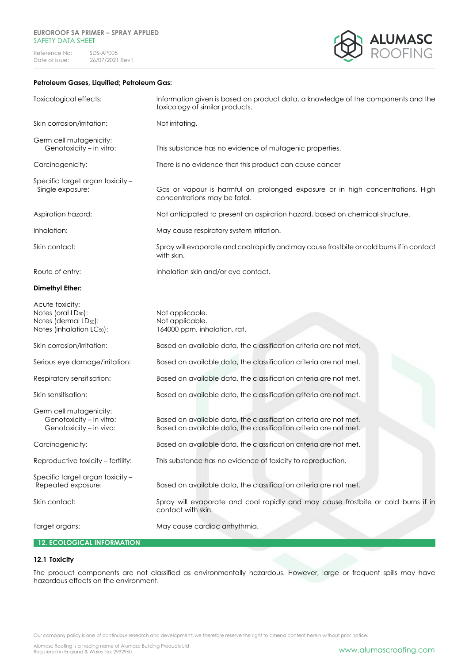## **EUROROOF SA PRIMER – SPRAY APPLIED** SAFETY DATA SHEET

Reference No: SDS-AP005<br>Date of issue: 26/07/2021 26/07/2021 Rev1



## **Petroleum Gases, Liquified; Petroleum Gas:**

| Toxicological effects:                                                                                                           | Information given is based on product data, a knowledge of the components and the<br>toxicology of similar products.                   |
|----------------------------------------------------------------------------------------------------------------------------------|----------------------------------------------------------------------------------------------------------------------------------------|
| Skin corrosion/irritation:                                                                                                       | Not irritating.                                                                                                                        |
| Germ cell mutagenicity:<br>Genotoxicity - in vitro:                                                                              | This substance has no evidence of mutagenic properties.                                                                                |
| Carcinogenicity:                                                                                                                 | There is no evidence that this product can cause cancer                                                                                |
| Specific target organ toxicity -<br>Single exposure:                                                                             | Gas or vapour is harmful on prolonged exposure or in high concentrations. High<br>concentrations may be fatal.                         |
| Aspiration hazard:                                                                                                               | Not anticipated to present an aspiration hazard, based on chemical structure.                                                          |
| Inhalation:                                                                                                                      | May cause respiratory system irritation.                                                                                               |
| Skin contact:                                                                                                                    | Spray will evaporate and cool rapidly and may cause frostbite or cold burns if in contact<br>with skin.                                |
| Route of entry:                                                                                                                  | Inhalation skin and/or eye contact.                                                                                                    |
| <b>Dimethyl Ether:</b>                                                                                                           |                                                                                                                                        |
| Acute toxicity:<br>Notes (oral LD <sub>50</sub> ):<br>Notes (dermal LD <sub>50</sub> ):<br>Notes (inhalation LC <sub>50</sub> ): | Not applicable.<br>Not applicable.<br>164000 ppm, inhalation, rat.                                                                     |
| Skin corrosion/irritation:                                                                                                       | Based on available data, the classification criteria are not met.                                                                      |
| Serious eye damage/irritation:                                                                                                   | Based on available data, the classification criteria are not met.                                                                      |
| Respiratory sensitisation:                                                                                                       | Based on available data, the classification criteria are not met.                                                                      |
| Skin sensitisation:                                                                                                              | Based on available data, the classification criteria are not met.                                                                      |
| Germ cell mutagenicity:<br>Genotoxicity - in vitro:<br>Genotoxicity - in vivo:                                                   | Based on available data, the classification criteria are not met.<br>Based on available data, the classification criteria are not met. |
| Carcinogenicity:                                                                                                                 | Based on available data, the classification criteria are not met.                                                                      |
| Reproductive toxicity - fertility:                                                                                               | This substance has no evidence of toxicity to reproduction.                                                                            |
| Specific target organ toxicity -<br>Repeated exposure:                                                                           | Based on available data, the classification criteria are not met.                                                                      |
| Skin contact:                                                                                                                    | Spray will evaporate and cool rapidly and may cause frostbite or cold burns if in<br>contact with skin.                                |
| Target organs:                                                                                                                   | May cause cardiac arrhythmia.                                                                                                          |

# **12. ECOLOGICAL INFORMATION**

## **12.1 Toxicity**

The product components are not classified as environmentally hazardous. However, large or frequent spills may have hazardous effects on the environment.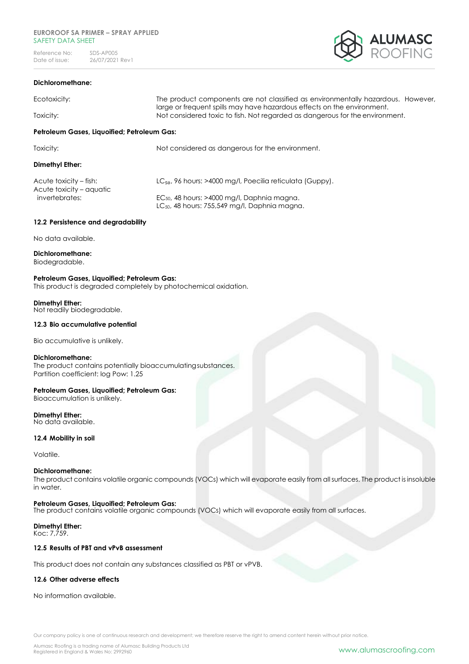#### **EUROROOF SA PRIMER – SPRAY APPLIED** SAFETY DATA SHFFT

Reference No: SDS-AP005<br>Date of issue: 26/07/2021 26/07/2021 Rev1



## **Dichloromethane:**

| Ecotoxicity:                                | The product components are not classified as environmentally hazardous. However,<br>large or frequent spills may have hazardous effects on the environment. |  |
|---------------------------------------------|-------------------------------------------------------------------------------------------------------------------------------------------------------------|--|
| Toxicity:                                   | Not considered toxic to fish. Not regarded as dangerous for the environment.                                                                                |  |
| Petroleum Gases, Liquoified; Petroleum Gas: |                                                                                                                                                             |  |
| Toxicity:                                   | Not considered as dangerous for the environment.                                                                                                            |  |
| Dimethyl Ether:                             |                                                                                                                                                             |  |
|                                             |                                                                                                                                                             |  |

Acute toxicity – aquatic

Acute toxicity – fish: LC<sub>50</sub>, 96 hours: >4000 mg/l, Poecilia reticulata (Guppy).

invertebrates: EC<sub>50</sub>, 48 hours: >4000 mg/l, Daphnia magna. LC<sub>50</sub>, 48 hours: 755,549 ma/l, Daphnia magna.

## **12.2 Persistence and degradability**

No data available.

**Dichloromethane:** Biodegradable.

## **Petroleum Gases, Liquoified; Petroleum Gas:**

This product is degraded completely by photochemical oxidation.

#### **Dimethyl Ether:**

Not readily biodegradable.

## **12.3 Bio accumulative potential**

Bio accumulative is unlikely.

#### **Dichloromethane:**

The product contains potentially bioaccumulatingsubstances. Partition coefficient: log Pow: 1.25

## **Petroleum Gases, Liquoified; Petroleum Gas:**

Bioaccumulation is unlikely.

## **Dimethyl Ether:**

No data available.

## **12.4 Mobility in soil**

Volatile.

## **Dichloromethane:**

The product contains volatile organic compounds (VOCs) which will evaporate easily from all surfaces. The product is insoluble in water.

## **Petroleum Gases, Liquoified; Petroleum Gas:**

The product contains volatile organic compounds (VOCs) which will evaporate easily from all surfaces.

#### **Dimethyl Ether:** Koc: 7,759.

## **12.5 Results of PBT and vPvB assessment**

This product does not contain any substances classified as PBT or vPVB.

## **12.6 Other adverse effects**

No information available.

Our company policy is one of continuous research and development; we therefore reserve the right to amend content herein without prior notice.

Alumasc Roofing is a trading name of Alumasc Building Products Ltd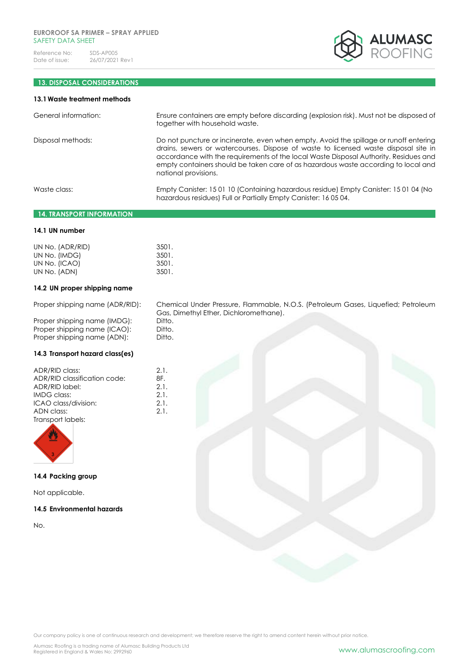

# **13. DISPOSAL CONSIDERATIONS**

| 13.1 Waste treatment methods |                                                                                                                                                                                                                                                                                                                                                                                    |
|------------------------------|------------------------------------------------------------------------------------------------------------------------------------------------------------------------------------------------------------------------------------------------------------------------------------------------------------------------------------------------------------------------------------|
| General information:         | Ensure containers are empty before discarding (explosion risk). Must not be disposed of<br>together with household waste.                                                                                                                                                                                                                                                          |
| Disposal methods:            | Do not puncture or incinerate, even when empty. Avoid the spillage or runoff entering<br>drains, sewers or watercourses. Dispose of waste to licensed waste disposal site in<br>accordance with the requirements of the local Waste Disposal Authority. Residues and<br>empty containers should be taken care of as hazardous waste according to local and<br>national provisions. |
| Waste class:                 | Empty Canister: 15 01 10 (Containing hazardous residue) Empty Canister: 15 01 04 (No<br>hazardous residues) Full or Partially Empty Canister: 160504.                                                                                                                                                                                                                              |

# **14. TRANSPORT INFORMATION**

## **14.1 UN number**

| 3501. |
|-------|
| 3501. |
| 3501. |
| 3501. |
|       |

## **14.2 UN proper shipping name**

Proper shipping name (ADR/RID): Chemical Under Pressure, Flammable, N.O.S. (Petroleum Gases, Liquefied; Petroleum Gas, Dimethyl Ether, Dichloromethane).

| Ditto. |  |
|--------|--|
| Ditto. |  |
| Ditto. |  |
|        |  |

## **14.3 Transport hazard class(es)**

Proper shipping name (IMDG): Proper shipping name (ICAO): Proper shipping name (ADN):

| ADR/RID class:               | 2.1. |
|------------------------------|------|
| ADR/RID classification code: | 8F.  |
| ADR/RID label:               | 2.1. |
| IMDG class:                  | 2.1. |
| ICAO class/division:         | 2.1. |
| ADN class:                   | 2.1. |
| Transport labels:            |      |



**14.4 Packing group**

Not applicable.

## **14.5 Environmental hazards**

No.